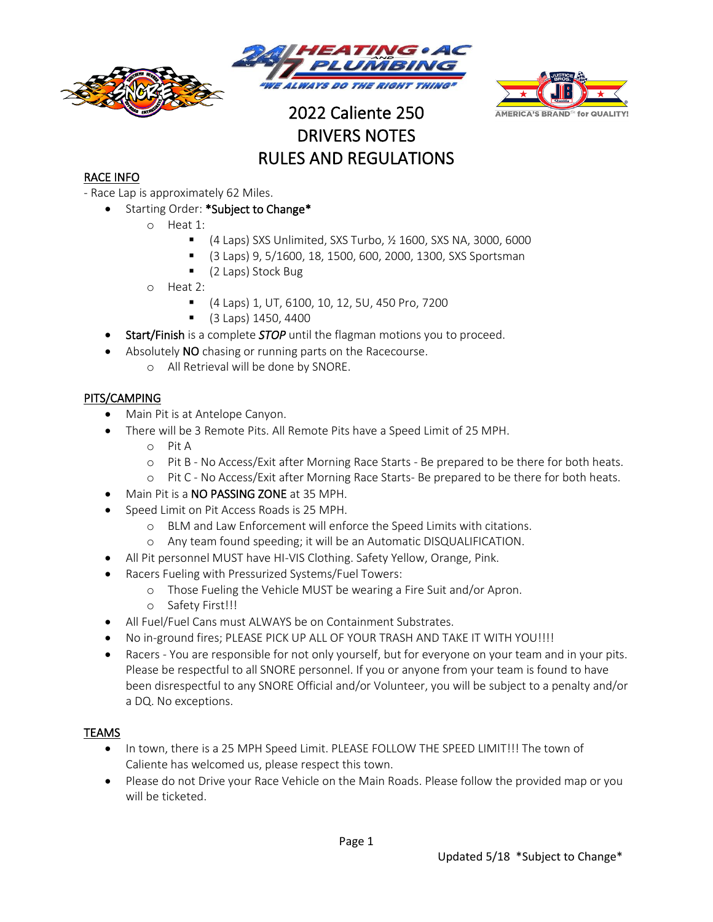





# 2022 Caliente 250 DRIVERS NOTES RULES AND REGULATIONS

## RACE INFO

- Race Lap is approximately 62 Miles.
	- Starting Order: \*Subject to Change\*
		- o Heat 1:
			- (4 Laps) SXS Unlimited, SXS Turbo, 1/2 1600, SXS NA, 3000, 6000
			- (3 Laps) 9, 5/1600, 18, 1500, 600, 2000, 1300, SXS Sportsman
			- (2 Laps) Stock Bug
		- o Heat 2:
			- (4 Laps) 1, UT, 6100, 10, 12, 5U, 450 Pro, 7200
			- (3 Laps) 1450, 4400
	- Start/Finish is a complete *STOP* until the flagman motions you to proceed.
	- Absolutely NO chasing or running parts on the Racecourse.
		- o All Retrieval will be done by SNORE.

### PITS/CAMPING

- Main Pit is at Antelope Canyon.
- There will be 3 Remote Pits. All Remote Pits have a Speed Limit of 25 MPH.
	- o Pit A
	- o Pit B No Access/Exit after Morning Race Starts Be prepared to be there for both heats.
	- o Pit C No Access/Exit after Morning Race Starts- Be prepared to be there for both heats.
- Main Pit is a NO PASSING ZONE at 35 MPH.
- Speed Limit on Pit Access Roads is 25 MPH.
	- o BLM and Law Enforcement will enforce the Speed Limits with citations.
	- o Any team found speeding; it will be an Automatic DISQUALIFICATION.
- All Pit personnel MUST have HI-VIS Clothing. Safety Yellow, Orange, Pink.
- Racers Fueling with Pressurized Systems/Fuel Towers:
	- o Those Fueling the Vehicle MUST be wearing a Fire Suit and/or Apron.
	- o Safety First!!!
- All Fuel/Fuel Cans must ALWAYS be on Containment Substrates.
- No in‐ground fires; PLEASE PICK UP ALL OF YOUR TRASH AND TAKE IT WITH YOU!!!!
- Racers You are responsible for not only yourself, but for everyone on your team and in your pits. Please be respectful to all SNORE personnel. If you or anyone from your team is found to have been disrespectful to any SNORE Official and/or Volunteer, you will be subject to a penalty and/or a DQ. No exceptions.

#### TEAMS

- In town, there is a 25 MPH Speed Limit. PLEASE FOLLOW THE SPEED LIMIT!!! The town of Caliente has welcomed us, please respect this town.
- Please do not Drive your Race Vehicle on the Main Roads. Please follow the provided map or you will be ticketed.